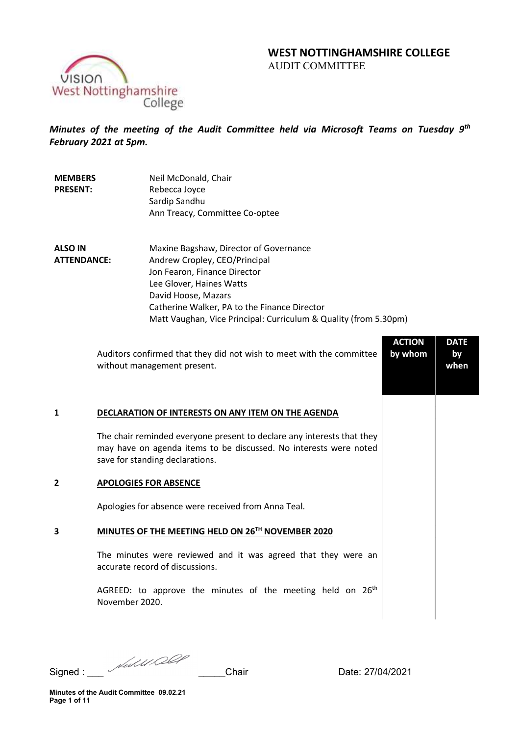# WEST NOTTINGHAMSHIRE COLLEGE AUDIT COMMITTEE



Minutes of the meeting of the Audit Committee held via Microsoft Teams on Tuesday 9<sup>th</sup> February 2021 at 5pm.

| <b>MEMBERS</b><br><b>PRESENT:</b>    | Neil McDonald, Chair<br>Rebecca Joyce<br>Sardip Sandhu<br>Ann Treacy, Committee Co-optee                |
|--------------------------------------|---------------------------------------------------------------------------------------------------------|
| <b>ALSO IN</b><br><b>ATTENDANCE:</b> | Maxine Bagshaw, Director of Governance<br>Andrew Cropley, CEO/Principal<br>Jon Fearon, Finance Director |

Lee Glover, Haines Watts David Hoose, Mazars Catherine Walker, PA to the Finance Director Matt Vaughan, Vice Principal: Curriculum & Quality (from 5.30pm)

|   | Auditors confirmed that they did not wish to meet with the committee<br>without management present.                                                                            | <b>ACTION</b><br>by whom | <b>DATE</b><br>by<br>when |
|---|--------------------------------------------------------------------------------------------------------------------------------------------------------------------------------|--------------------------|---------------------------|
| 1 | DECLARATION OF INTERESTS ON ANY ITEM ON THE AGENDA                                                                                                                             |                          |                           |
|   | The chair reminded everyone present to declare any interests that they<br>may have on agenda items to be discussed. No interests were noted<br>save for standing declarations. |                          |                           |
| 2 | <b>APOLOGIES FOR ABSENCE</b>                                                                                                                                                   |                          |                           |
|   | Apologies for absence were received from Anna Teal.                                                                                                                            |                          |                           |
| 3 | MINUTES OF THE MEETING HELD ON 26TH NOVEMBER 2020                                                                                                                              |                          |                           |
|   | The minutes were reviewed and it was agreed that they were an<br>accurate record of discussions.                                                                               |                          |                           |
|   | AGREED: to approve the minutes of the meeting held on $26th$<br>November 2020.                                                                                                 |                          |                           |
|   |                                                                                                                                                                                |                          |                           |

Signed : \_\_\_ \_\_\_\_\_Chair Date: 27/04/2021

Minutes of the Audit Committee 09.02.21 Page 1 of 11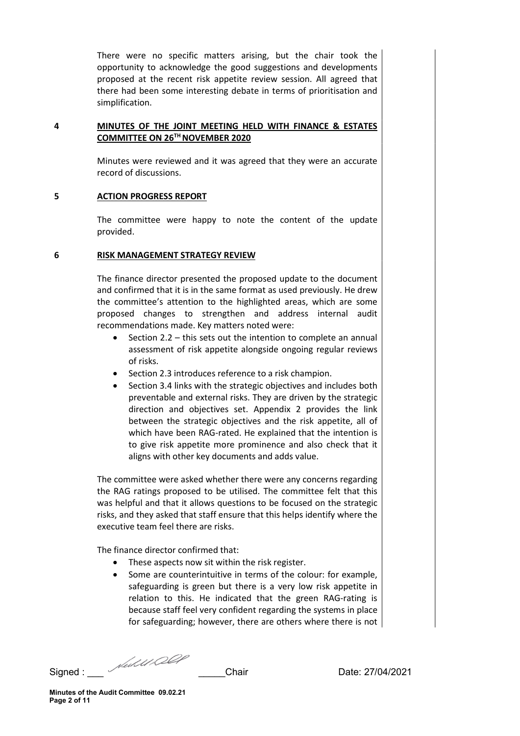There were no specific matters arising, but the chair took the opportunity to acknowledge the good suggestions and developments proposed at the recent risk appetite review session. All agreed that there had been some interesting debate in terms of prioritisation and simplification.

## 4 MINUTES OF THE JOINT MEETING HELD WITH FINANCE & ESTATES COMMITTEE ON 26TH NOVEMBER 2020

Minutes were reviewed and it was agreed that they were an accurate record of discussions.

### 5 ACTION PROGRESS REPORT

The committee were happy to note the content of the update provided.

### 6 RISK MANAGEMENT STRATEGY REVIEW

The finance director presented the proposed update to the document and confirmed that it is in the same format as used previously. He drew the committee's attention to the highlighted areas, which are some proposed changes to strengthen and address internal audit recommendations made. Key matters noted were:

- Section 2.2 this sets out the intention to complete an annual assessment of risk appetite alongside ongoing regular reviews of risks.
- Section 2.3 introduces reference to a risk champion.
- Section 3.4 links with the strategic objectives and includes both preventable and external risks. They are driven by the strategic direction and objectives set. Appendix 2 provides the link between the strategic objectives and the risk appetite, all of which have been RAG-rated. He explained that the intention is to give risk appetite more prominence and also check that it aligns with other key documents and adds value.

The committee were asked whether there were any concerns regarding the RAG ratings proposed to be utilised. The committee felt that this was helpful and that it allows questions to be focused on the strategic risks, and they asked that staff ensure that this helps identify where the executive team feel there are risks.

The finance director confirmed that:

- These aspects now sit within the risk register.
- Some are counterintuitive in terms of the colour: for example, safeguarding is green but there is a very low risk appetite in relation to this. He indicated that the green RAG-rating is because staff feel very confident regarding the systems in place for safeguarding; however, there are others where there is not

Signed : \_\_\_ \_\_\_\_\_Chair Date: 27/04/2021

Minutes of the Audit Committee 09.02.21 Page 2 of 11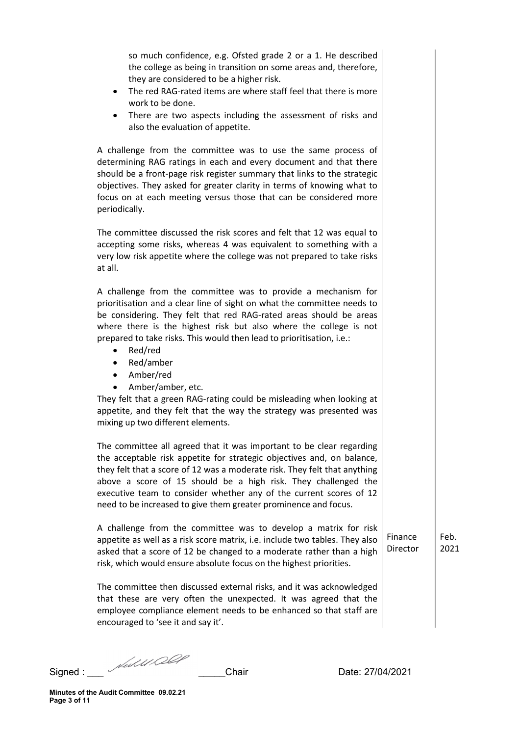so much confidence, e.g. Ofsted grade 2 or a 1. He described the college as being in transition on some areas and, therefore, they are considered to be a higher risk.

- The red RAG-rated items are where staff feel that there is more work to be done.
- There are two aspects including the assessment of risks and also the evaluation of appetite.

A challenge from the committee was to use the same process of determining RAG ratings in each and every document and that there should be a front-page risk register summary that links to the strategic objectives. They asked for greater clarity in terms of knowing what to focus on at each meeting versus those that can be considered more periodically.

The committee discussed the risk scores and felt that 12 was equal to accepting some risks, whereas 4 was equivalent to something with a very low risk appetite where the college was not prepared to take risks at all.

A challenge from the committee was to provide a mechanism for prioritisation and a clear line of sight on what the committee needs to be considering. They felt that red RAG-rated areas should be areas where there is the highest risk but also where the college is not prepared to take risks. This would then lead to prioritisation, i.e.:

- Red/red
- Red/amber
- Amber/red
- Amber/amber, etc.

They felt that a green RAG-rating could be misleading when looking at appetite, and they felt that the way the strategy was presented was mixing up two different elements.

The committee all agreed that it was important to be clear regarding the acceptable risk appetite for strategic objectives and, on balance, they felt that a score of 12 was a moderate risk. They felt that anything above a score of 15 should be a high risk. They challenged the executive team to consider whether any of the current scores of 12 need to be increased to give them greater prominence and focus.

A challenge from the committee was to develop a matrix for risk appetite as well as a risk score matrix, i.e. include two tables. They also asked that a score of 12 be changed to a moderate rather than a high risk, which would ensure absolute focus on the highest priorities.

Finance **Director**  Feb. 2021

The committee then discussed external risks, and it was acknowledged that these are very often the unexpected. It was agreed that the employee compliance element needs to be enhanced so that staff are encouraged to 'see it and say it'.

Signed : \_\_\_ \_\_\_\_\_Chair Date: 27/04/2021

Minutes of the Audit Committee 09.02.21 Page 3 of 11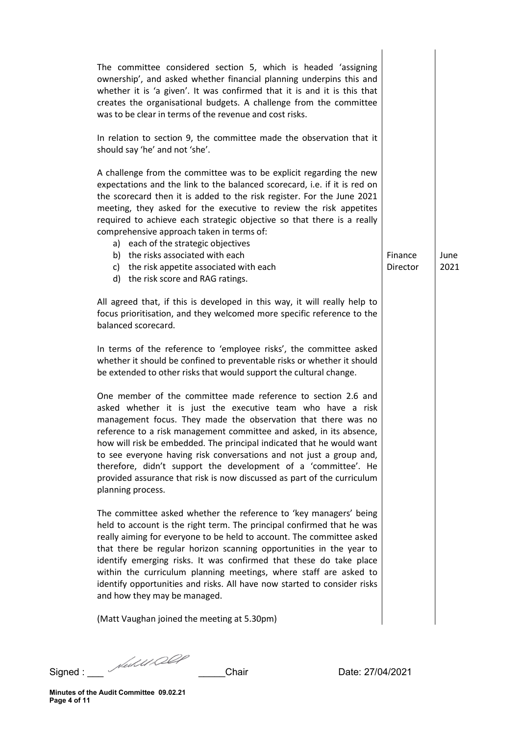| The committee considered section 5, which is headed 'assigning<br>ownership', and asked whether financial planning underpins this and<br>whether it is 'a given'. It was confirmed that it is and it is this that<br>creates the organisational budgets. A challenge from the committee<br>was to be clear in terms of the revenue and cost risks.                                                                                                                                                                                                                                     |                     |              |
|----------------------------------------------------------------------------------------------------------------------------------------------------------------------------------------------------------------------------------------------------------------------------------------------------------------------------------------------------------------------------------------------------------------------------------------------------------------------------------------------------------------------------------------------------------------------------------------|---------------------|--------------|
| In relation to section 9, the committee made the observation that it<br>should say 'he' and not 'she'.                                                                                                                                                                                                                                                                                                                                                                                                                                                                                 |                     |              |
| A challenge from the committee was to be explicit regarding the new<br>expectations and the link to the balanced scorecard, i.e. if it is red on<br>the scorecard then it is added to the risk register. For the June 2021<br>meeting, they asked for the executive to review the risk appetites<br>required to achieve each strategic objective so that there is a really<br>comprehensive approach taken in terms of:<br>a) each of the strategic objectives<br>b) the risks associated with each<br>c) the risk appetite associated with each                                       | Finance<br>Director | June<br>2021 |
| d) the risk score and RAG ratings.                                                                                                                                                                                                                                                                                                                                                                                                                                                                                                                                                     |                     |              |
| All agreed that, if this is developed in this way, it will really help to<br>focus prioritisation, and they welcomed more specific reference to the<br>balanced scorecard.                                                                                                                                                                                                                                                                                                                                                                                                             |                     |              |
| In terms of the reference to 'employee risks', the committee asked<br>whether it should be confined to preventable risks or whether it should<br>be extended to other risks that would support the cultural change.                                                                                                                                                                                                                                                                                                                                                                    |                     |              |
| One member of the committee made reference to section 2.6 and<br>asked whether it is just the executive team who have a risk<br>management focus. They made the observation that there was no<br>reference to a risk management committee and asked, in its absence,<br>how will risk be embedded. The principal indicated that he would want<br>to see everyone having risk conversations and not just a group and,<br>therefore, didn't support the development of a 'committee'. He<br>provided assurance that risk is now discussed as part of the curriculum<br>planning process. |                     |              |
| The committee asked whether the reference to 'key managers' being<br>held to account is the right term. The principal confirmed that he was<br>really aiming for everyone to be held to account. The committee asked<br>that there be regular horizon scanning opportunities in the year to<br>identify emerging risks. It was confirmed that these do take place<br>within the curriculum planning meetings, where staff are asked to<br>identify opportunities and risks. All have now started to consider risks<br>and how they may be managed.                                     |                     |              |
| (Matt Vaughan joined the meeting at 5.30pm)                                                                                                                                                                                                                                                                                                                                                                                                                                                                                                                                            |                     |              |
|                                                                                                                                                                                                                                                                                                                                                                                                                                                                                                                                                                                        |                     |              |

Signed : \_\_\_ \_\_\_\_\_Chair Date: 27/04/2021

Minutes of the Audit Committee 09.02.21 Page 4 of 11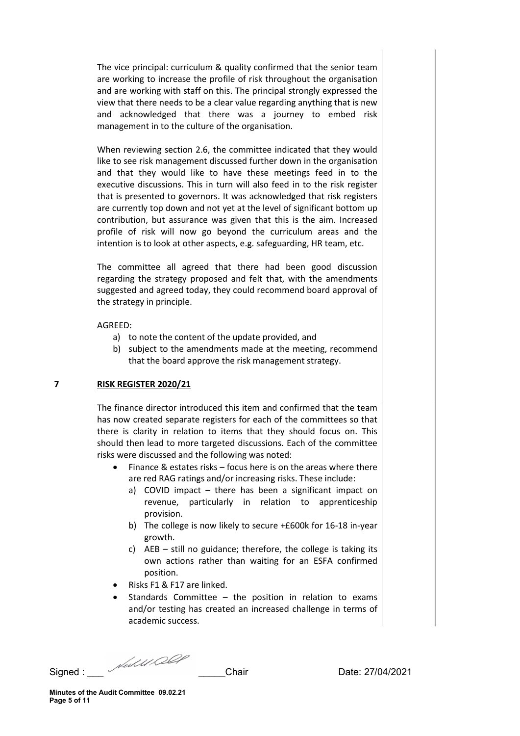The vice principal: curriculum & quality confirmed that the senior team are working to increase the profile of risk throughout the organisation and are working with staff on this. The principal strongly expressed the view that there needs to be a clear value regarding anything that is new and acknowledged that there was a journey to embed risk management in to the culture of the organisation.

When reviewing section 2.6, the committee indicated that they would like to see risk management discussed further down in the organisation and that they would like to have these meetings feed in to the executive discussions. This in turn will also feed in to the risk register that is presented to governors. It was acknowledged that risk registers are currently top down and not yet at the level of significant bottom up contribution, but assurance was given that this is the aim. Increased profile of risk will now go beyond the curriculum areas and the intention is to look at other aspects, e.g. safeguarding, HR team, etc.

The committee all agreed that there had been good discussion regarding the strategy proposed and felt that, with the amendments suggested and agreed today, they could recommend board approval of the strategy in principle.

### AGREED:

- a) to note the content of the update provided, and
- b) subject to the amendments made at the meeting, recommend that the board approve the risk management strategy.

### 7 RISK REGISTER 2020/21

The finance director introduced this item and confirmed that the team has now created separate registers for each of the committees so that there is clarity in relation to items that they should focus on. This should then lead to more targeted discussions. Each of the committee risks were discussed and the following was noted:

- Finance & estates risks focus here is on the areas where there are red RAG ratings and/or increasing risks. These include:
	- a) COVID impact there has been a significant impact on revenue, particularly in relation to apprenticeship provision.
	- b) The college is now likely to secure +£600k for 16-18 in-year growth.
	- c) AEB still no guidance; therefore, the college is taking its own actions rather than waiting for an ESFA confirmed position.
- Risks F1 & F17 are linked.
- Standards Committee the position in relation to exams and/or testing has created an increased challenge in terms of academic success.

Signed : \_\_\_ \_\_\_\_\_Chair Date: 27/04/2021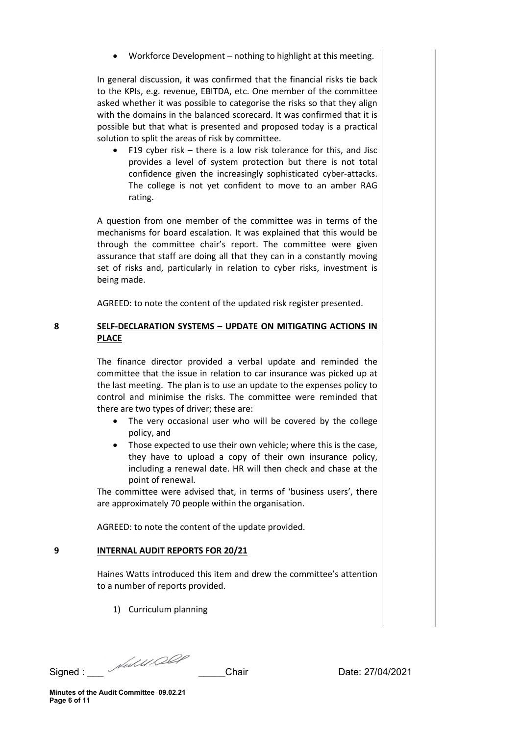Workforce Development – nothing to highlight at this meeting.

In general discussion, it was confirmed that the financial risks tie back to the KPIs, e.g. revenue, EBITDA, etc. One member of the committee asked whether it was possible to categorise the risks so that they align with the domains in the balanced scorecard. It was confirmed that it is possible but that what is presented and proposed today is a practical solution to split the areas of risk by committee.

 F19 cyber risk – there is a low risk tolerance for this, and Jisc provides a level of system protection but there is not total confidence given the increasingly sophisticated cyber-attacks. The college is not yet confident to move to an amber RAG rating.

A question from one member of the committee was in terms of the mechanisms for board escalation. It was explained that this would be through the committee chair's report. The committee were given assurance that staff are doing all that they can in a constantly moving set of risks and, particularly in relation to cyber risks, investment is being made.

AGREED: to note the content of the updated risk register presented.

## 8 SELF-DECLARATION SYSTEMS – UPDATE ON MITIGATING ACTIONS IN PLACE

The finance director provided a verbal update and reminded the committee that the issue in relation to car insurance was picked up at the last meeting. The plan is to use an update to the expenses policy to control and minimise the risks. The committee were reminded that there are two types of driver; these are:

- The very occasional user who will be covered by the college policy, and
- Those expected to use their own vehicle; where this is the case, they have to upload a copy of their own insurance policy, including a renewal date. HR will then check and chase at the point of renewal.

The committee were advised that, in terms of 'business users', there are approximately 70 people within the organisation.

AGREED: to note the content of the update provided.

# 9 **INTERNAL AUDIT REPORTS FOR 20/21**

Haines Watts introduced this item and drew the committee's attention to a number of reports provided.

1) Curriculum planning

Signed : \_\_\_ \_\_\_\_\_Chair Date: 27/04/2021

Minutes of the Audit Committee 09.02.21 Page 6 of 11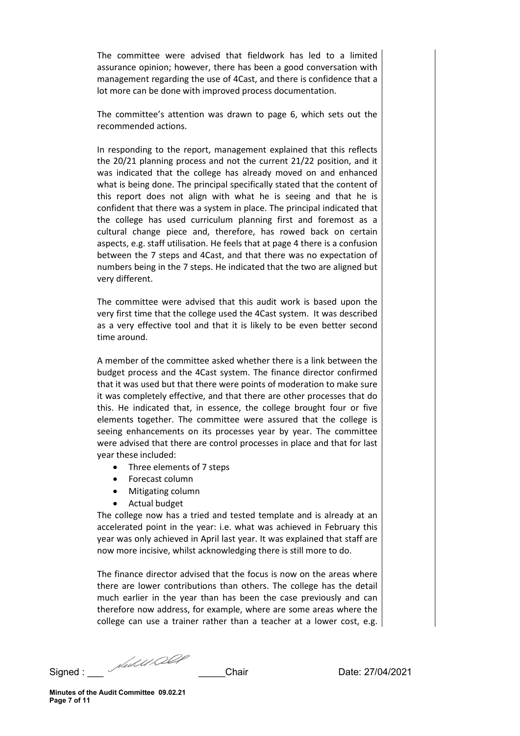The committee were advised that fieldwork has led to a limited assurance opinion; however, there has been a good conversation with management regarding the use of 4Cast, and there is confidence that a lot more can be done with improved process documentation.

The committee's attention was drawn to page 6, which sets out the recommended actions.

In responding to the report, management explained that this reflects the 20/21 planning process and not the current 21/22 position, and it was indicated that the college has already moved on and enhanced what is being done. The principal specifically stated that the content of this report does not align with what he is seeing and that he is confident that there was a system in place. The principal indicated that the college has used curriculum planning first and foremost as a cultural change piece and, therefore, has rowed back on certain aspects, e.g. staff utilisation. He feels that at page 4 there is a confusion between the 7 steps and 4Cast, and that there was no expectation of numbers being in the 7 steps. He indicated that the two are aligned but very different.

The committee were advised that this audit work is based upon the very first time that the college used the 4Cast system. It was described as a very effective tool and that it is likely to be even better second time around.

A member of the committee asked whether there is a link between the budget process and the 4Cast system. The finance director confirmed that it was used but that there were points of moderation to make sure it was completely effective, and that there are other processes that do this. He indicated that, in essence, the college brought four or five elements together. The committee were assured that the college is seeing enhancements on its processes year by year. The committee were advised that there are control processes in place and that for last year these included:

- Three elements of 7 steps
- Forecast column
- Mitigating column
- Actual budget

The college now has a tried and tested template and is already at an accelerated point in the year: i.e. what was achieved in February this year was only achieved in April last year. It was explained that staff are now more incisive, whilst acknowledging there is still more to do.

The finance director advised that the focus is now on the areas where there are lower contributions than others. The college has the detail much earlier in the year than has been the case previously and can therefore now address, for example, where are some areas where the college can use a trainer rather than a teacher at a lower cost, e.g.

Signed : \_\_\_ \_\_\_\_\_Chair Date: 27/04/2021

Minutes of the Audit Committee 09.02.21 Page 7 of 11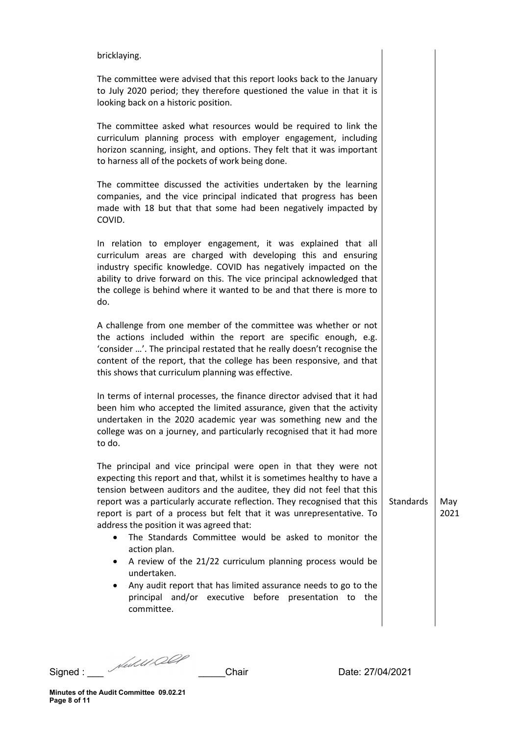#### bricklaying.

The committee were advised that this report looks back to the January to July 2020 period; they therefore questioned the value in that it is looking back on a historic position.

The committee asked what resources would be required to link the curriculum planning process with employer engagement, including horizon scanning, insight, and options. They felt that it was important to harness all of the pockets of work being done.

The committee discussed the activities undertaken by the learning companies, and the vice principal indicated that progress has been made with 18 but that that some had been negatively impacted by COVID.

In relation to employer engagement, it was explained that all curriculum areas are charged with developing this and ensuring industry specific knowledge. COVID has negatively impacted on the ability to drive forward on this. The vice principal acknowledged that the college is behind where it wanted to be and that there is more to do.

A challenge from one member of the committee was whether or not the actions included within the report are specific enough, e.g. 'consider …'. The principal restated that he really doesn't recognise the content of the report, that the college has been responsive, and that this shows that curriculum planning was effective.

In terms of internal processes, the finance director advised that it had been him who accepted the limited assurance, given that the activity undertaken in the 2020 academic year was something new and the college was on a journey, and particularly recognised that it had more to do.

The principal and vice principal were open in that they were not expecting this report and that, whilst it is sometimes healthy to have a tension between auditors and the auditee, they did not feel that this report was a particularly accurate reflection. They recognised that this report is part of a process but felt that it was unrepresentative. To address the position it was agreed that:

- The Standards Committee would be asked to monitor the action plan.
- A review of the 21/22 curriculum planning process would be undertaken.
- Any audit report that has limited assurance needs to go to the principal and/or executive before presentation to the committee.

Signed : \_\_\_ \_\_\_\_\_Chair Date: 27/04/2021

Standards  $\vert$  May

2021

Minutes of the Audit Committee 09.02.21 Page 8 of 11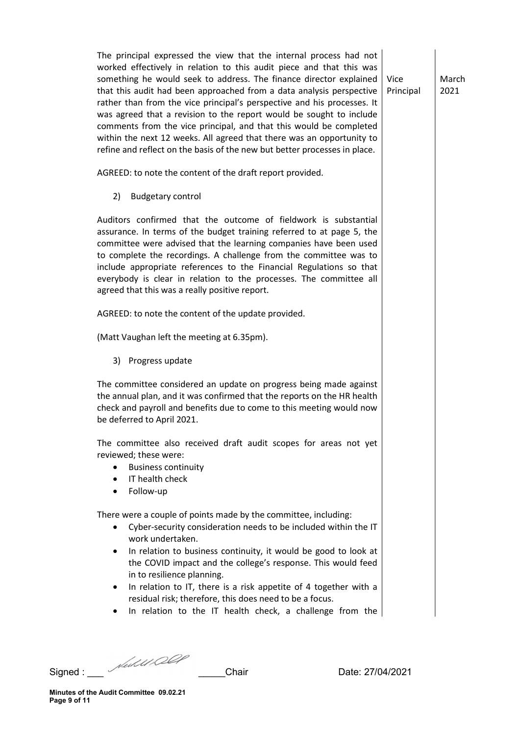The principal expressed the view that the internal process had not worked effectively in relation to this audit piece and that this was something he would seek to address. The finance director explained that this audit had been approached from a data analysis perspective rather than from the vice principal's perspective and his processes. It was agreed that a revision to the report would be sought to include comments from the vice principal, and that this would be completed within the next 12 weeks. All agreed that there was an opportunity to refine and reflect on the basis of the new but better processes in place.

AGREED: to note the content of the draft report provided.

2) Budgetary control

Auditors confirmed that the outcome of fieldwork is substantial assurance. In terms of the budget training referred to at page 5, the committee were advised that the learning companies have been used to complete the recordings. A challenge from the committee was to include appropriate references to the Financial Regulations so that everybody is clear in relation to the processes. The committee all agreed that this was a really positive report.

AGREED: to note the content of the update provided.

(Matt Vaughan left the meeting at 6.35pm).

3) Progress update

The committee considered an update on progress being made against the annual plan, and it was confirmed that the reports on the HR health check and payroll and benefits due to come to this meeting would now be deferred to April 2021.

The committee also received draft audit scopes for areas not yet reviewed; these were:

- **•** Business continuity
- IT health check
- Follow-up

There were a couple of points made by the committee, including:

- Cyber-security consideration needs to be included within the IT work undertaken.
- In relation to business continuity, it would be good to look at the COVID impact and the college's response. This would feed in to resilience planning.
- In relation to IT, there is a risk appetite of 4 together with a residual risk; therefore, this does need to be a focus.
- In relation to the IT health check, a challenge from the

Signed : \_\_\_ \_\_\_\_\_Chair Date: 27/04/2021

Vice Principal March 2021

Minutes of the Audit Committee 09.02.21 Page 9 of 11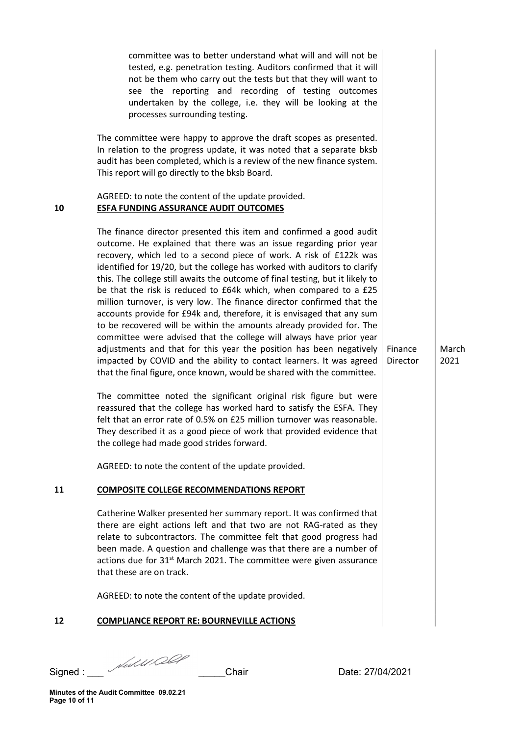|    | committee was to better understand what will and will not be<br>tested, e.g. penetration testing. Auditors confirmed that it will<br>not be them who carry out the tests but that they will want to<br>see the reporting and recording of testing outcomes<br>undertaken by the college, i.e. they will be looking at the<br>processes surrounding testing.                                                                                                                                                                                                                                                                                                                                                                                                                                                                                                                                                                                                                    |                     |               |
|----|--------------------------------------------------------------------------------------------------------------------------------------------------------------------------------------------------------------------------------------------------------------------------------------------------------------------------------------------------------------------------------------------------------------------------------------------------------------------------------------------------------------------------------------------------------------------------------------------------------------------------------------------------------------------------------------------------------------------------------------------------------------------------------------------------------------------------------------------------------------------------------------------------------------------------------------------------------------------------------|---------------------|---------------|
|    | The committee were happy to approve the draft scopes as presented.<br>In relation to the progress update, it was noted that a separate bksb<br>audit has been completed, which is a review of the new finance system.<br>This report will go directly to the bksb Board.                                                                                                                                                                                                                                                                                                                                                                                                                                                                                                                                                                                                                                                                                                       |                     |               |
| 10 | AGREED: to note the content of the update provided.<br><b>ESFA FUNDING ASSURANCE AUDIT OUTCOMES</b>                                                                                                                                                                                                                                                                                                                                                                                                                                                                                                                                                                                                                                                                                                                                                                                                                                                                            |                     |               |
|    | The finance director presented this item and confirmed a good audit<br>outcome. He explained that there was an issue regarding prior year<br>recovery, which led to a second piece of work. A risk of £122k was<br>identified for 19/20, but the college has worked with auditors to clarify<br>this. The college still awaits the outcome of final testing, but it likely to<br>be that the risk is reduced to £64k which, when compared to a £25<br>million turnover, is very low. The finance director confirmed that the<br>accounts provide for £94k and, therefore, it is envisaged that any sum<br>to be recovered will be within the amounts already provided for. The<br>committee were advised that the college will always have prior year<br>adjustments and that for this year the position has been negatively<br>impacted by COVID and the ability to contact learners. It was agreed<br>that the final figure, once known, would be shared with the committee. | Finance<br>Director | March<br>2021 |
|    | The committee noted the significant original risk figure but were<br>reassured that the college has worked hard to satisfy the ESFA. They<br>felt that an error rate of 0.5% on £25 million turnover was reasonable.<br>They described it as a good piece of work that provided evidence that<br>the college had made good strides forward.                                                                                                                                                                                                                                                                                                                                                                                                                                                                                                                                                                                                                                    |                     |               |
|    | AGREED: to note the content of the update provided.                                                                                                                                                                                                                                                                                                                                                                                                                                                                                                                                                                                                                                                                                                                                                                                                                                                                                                                            |                     |               |
| 11 | <b>COMPOSITE COLLEGE RECOMMENDATIONS REPORT</b>                                                                                                                                                                                                                                                                                                                                                                                                                                                                                                                                                                                                                                                                                                                                                                                                                                                                                                                                |                     |               |
|    | Catherine Walker presented her summary report. It was confirmed that<br>there are eight actions left and that two are not RAG-rated as they<br>relate to subcontractors. The committee felt that good progress had<br>been made. A question and challenge was that there are a number of<br>actions due for 31 <sup>st</sup> March 2021. The committee were given assurance<br>that these are on track.                                                                                                                                                                                                                                                                                                                                                                                                                                                                                                                                                                        |                     |               |
|    | AGREED: to note the content of the update provided.                                                                                                                                                                                                                                                                                                                                                                                                                                                                                                                                                                                                                                                                                                                                                                                                                                                                                                                            |                     |               |
| 12 | <b>COMPLIANCE REPORT RE: BOURNEVILLE ACTIONS</b>                                                                                                                                                                                                                                                                                                                                                                                                                                                                                                                                                                                                                                                                                                                                                                                                                                                                                                                               |                     |               |
|    |                                                                                                                                                                                                                                                                                                                                                                                                                                                                                                                                                                                                                                                                                                                                                                                                                                                                                                                                                                                |                     |               |

Signed : \_\_\_ \_\_\_\_\_Chair Date: 27/04/2021